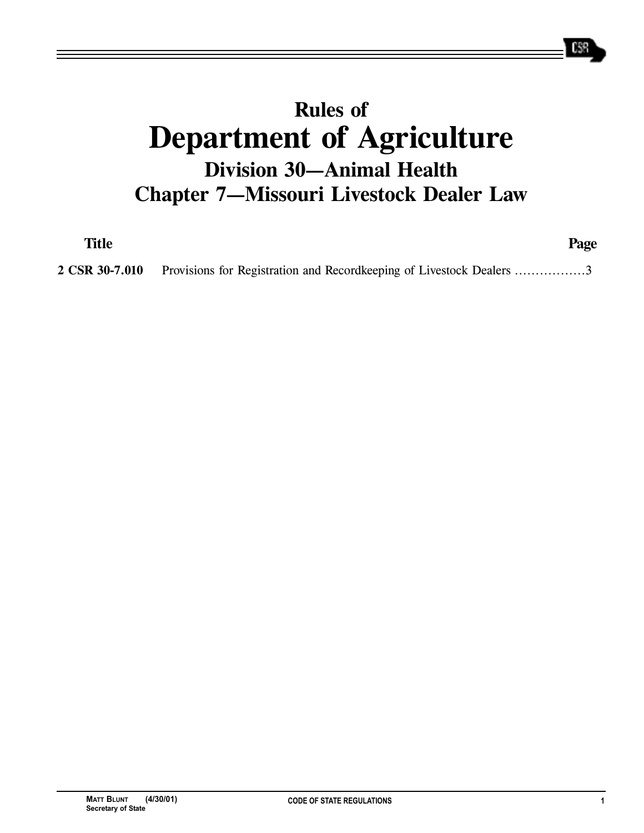## **Rules of Department of Agriculture Division 30—Animal Health Chapter 7—Missouri Livestock Dealer Law**

**Title Page**

**2 CSR 30-7.010** Provisions for Registration and Recordkeeping of Livestock Dealers .................3

## **MATT BLUNT (4/30/01) CODE OF STATE REGULATIONS 1 Secretary of State**